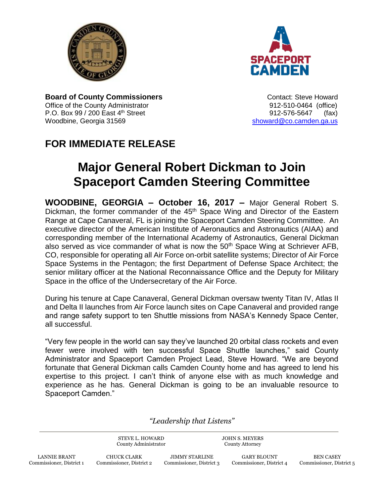



**Board of County Commissioners CONTER 1999** Contact: Steve Howard Office of the County Administrator 612-510-0464 (office) P.O. Box 99 / 200 East 4<sup>th</sup> Street 912-576-5647 (fax) Woodbine, Georgia 31569 [showard@co.camden.ga.us](mailto:showard@co.camden.ga.us)

## **FOR IMMEDIATE RELEASE**

## **Major General Robert Dickman to Join Spaceport Camden Steering Committee**

**WOODBINE, GEORGIA – October 16, 2017 –** Major General Robert S. Dickman, the former commander of the 45<sup>th</sup> Space Wing and Director of the Eastern Range at Cape Canaveral, FL is joining the Spaceport Camden Steering Committee. An executive director of the American Institute of Aeronautics and Astronautics (AIAA) and corresponding member of the International Academy of Astronautics, General Dickman also served as vice commander of what is now the 50<sup>th</sup> Space Wing at Schriever AFB, CO, responsible for operating all Air Force on-orbit satellite systems; Director of Air Force Space Systems in the Pentagon; the first Department of Defense Space Architect; the senior military officer at the National Reconnaissance Office and the Deputy for Military Space in the office of the Undersecretary of the Air Force.

During his tenure at Cape Canaveral, General Dickman oversaw twenty Titan IV, Atlas II and Delta II launches from Air Force launch sites on Cape Canaveral and provided range and range safety support to ten Shuttle missions from NASA's Kennedy Space Center, all successful.

"Very few people in the world can say they've launched 20 orbital class rockets and even fewer were involved with ten successful Space Shuttle launches," said County Administrator and Spaceport Camden Project Lead, Steve Howard. "We are beyond fortunate that General Dickman calls Camden County home and has agreed to lend his expertise to this project. I can't think of anyone else with as much knowledge and experience as he has. General Dickman is going to be an invaluable resource to Spaceport Camden."

*"Leadership that Listens"*

STEVE L. HOWARD County Administrator JOHN S. MEYERS County Attorney

CHUCK CLARK Commissioner, District 2

JIMMY STARLINE Commissioner, District 3

GARY BLOUNT Commissioner, District 4

BEN CASEY Commissioner, District 5